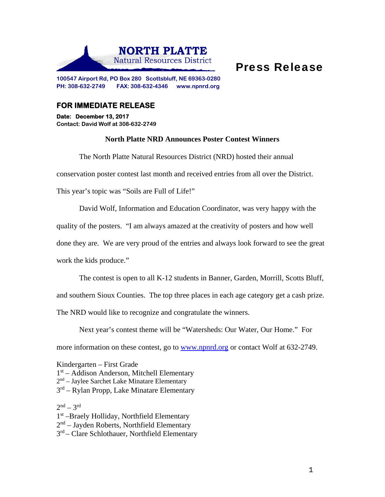

## Press Release

**100547 Airport Rd, PO Box 280 Scottsbluff, NE 69363-0280 PH: 308-632-2749 FAX: 308-632-4346 www.npnrd.org** 

## **FOR IMMEDIATE RELEASE**

**Date: December 13, 2017 Contact: David Wolf at 308-632-2749** 

## **North Platte NRD Announces Poster Contest Winners**

The North Platte Natural Resources District (NRD) hosted their annual

conservation poster contest last month and received entries from all over the District.

This year's topic was "Soils are Full of Life!"

David Wolf, Information and Education Coordinator, was very happy with the

quality of the posters. "I am always amazed at the creativity of posters and how well

done they are. We are very proud of the entries and always look forward to see the great

work the kids produce."

The contest is open to all K-12 students in Banner, Garden, Morrill, Scotts Bluff,

and southern Sioux Counties. The top three places in each age category get a cash prize.

The NRD would like to recognize and congratulate the winners.

Next year's contest theme will be "Watersheds: Our Water, Our Home." For more information on these contest, go to www.npnrd.org or contact Wolf at 632-2749.

Kindergarten – First Grade

1<sup>st</sup> – Addison Anderson, Mitchell Elementary

- 2nd Jaylee Sarchet Lake Minatare Elementary
- 3<sup>rd</sup> Rylan Propp, Lake Minatare Elementary

 $2^{nd}$  –  $3^{rd}$ 

1st –Braely Holliday, Northfield Elementary

 $2<sup>nd</sup>$  – Jayden Roberts, Northfield Elementary

 $3<sup>rd</sup>$  – Clare Schlothauer, Northfield Elementary